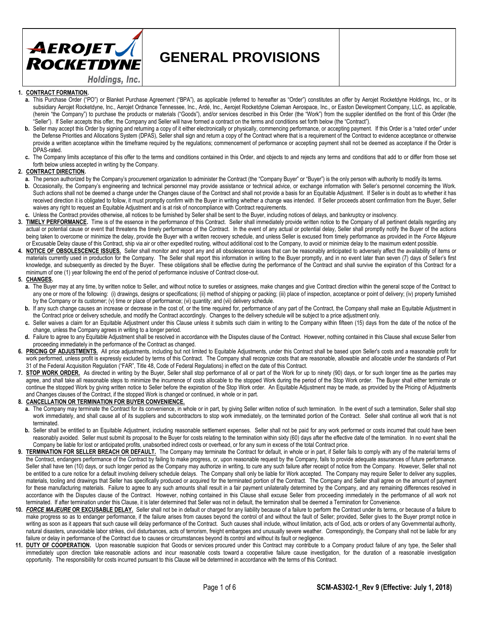

# **GENERAL PROVISIONS**

#### **1. CONTRACT FORMATION.**

- **a.** This Purchase Order ("PO") or Blanket Purchase Agreement ("BPA"), as applicable (referred to hereafter as "Order") constitutes an offer by Aerojet Rocketdyne Holdings, Inc., or its subsidiary Aerojet Rocketdyne, Inc., Aerojet Ordnance Tennessee, Inc., Ardé, Inc., Aerojet Rocketdyne Coleman Aerospace, Inc., or Easton Development Company, LLC, as applicable, (herein "the Company") to purchase the products or materials ("Goods"), and/or services described in this Order (the "Work") from the supplier identified on the front of this Order (the "Seller"). If Seller accepts this offer, the Company and Seller will have formed a contract on the terms and conditions set forth below (the "Contract").
- b. Seller may accept this Order by signing and returning a copy of it either electronically or physically, commencing performance, or accepting payment. If this Order is a "rated order" under the Defense Priorities and Allocations System (DPAS), Seller shall sign and return a copy of the Contract where that is a requirement of the Contract to evidence acceptance or otherwise provide a written acceptance within the timeframe required by the regulations; commencement of performance or accepting payment shall not be deemed as acceptance if the Order is DPAS-rated.
- **c.** The Company limits acceptance of this offer to the terms and conditions contained in this Order, and objects to and rejects any terms and conditions that add to or differ from those set forth below unless accepted in writing by the Company.

#### **2. CONTRACT DIRECTION.**

- **a.** The person authorized by the Company's procurement organization to administer the Contract (the "Company Buyer" or "Buyer") is the only person with authority to modify its terms.
- **b.** Occasionally, the Company's engineering and technical personnel may provide assistance or technical advice, or exchange information with Seller's personnel concerning the Work. Such actions shall not be deemed a change under the Changes clause of the Contract and shall not provide a basis for an Equitable Adjustment. If Seller is in doubt as to whether it has received direction it is obligated to follow, it must promptly confirm with the Buyer in writing whether a change was intended. If Seller proceeds absent confirmation from the Buyer, Seller waives any right to request an Equitable Adjustment and is at risk of noncompliance with Contract requirements.
- **c.** Unless the Contract provides otherwise, all notices to be furnished by Seller shall be sent to the Buyer, including notices of delays, and bankruptcy or insolvency.
- **3. TIMELY PERFORMANCE.** Time is of the essence in the performance of this Contract. Seller shall immediately provide written notice to the Company of all pertinent details regarding any actual or potential cause or event that threatens the timely performance of the Contract. In the event of any actual or potential delay, Seller shall promptly notify the Buyer of the actions being taken to overcome or minimize the delay, provide the Buyer with a written recovery schedule, and unless Seller is excused from timely performance as provided in the *Force Majeure* or Excusable Delay clause of this Contract, ship via air or other expedited routing, without additional cost to the Company, to avoid or minimize delay to the maximum extent possible.
- **4. NOTICE OF OBSOLESCENCE ISSUES.** Seller shall monitor and report any and all obsolescence issues that can be reasonably anticipated to adversely affect the availability of items or materials currently used in production for the Company. The Seller shall report this information in writing to the Buyer promptly, and in no event later than seven (7) days of Seller's first knowledge, and subsequently as directed by the Buyer. These obligations shall be effective during the performance of the Contract and shall survive the expiration of this Contract for a minimum of one (1) year following the end of the period of performance inclusive of Contract close-out.

#### **5. CHANGES.**

- **a.** The Buyer may at any time, by written notice to Seller, and without notice to sureties or assignees, make changes and give Contract direction within the general scope of the Contract to any one or more of the following: (i) drawings, designs or specifications; (ii) method of shipping or packing; (iii) place of inspection, acceptance or point of delivery; (iv) property furnished by the Company or its customer; (v) time or place of performance; (vi) quantity; and (vii) delivery schedule.
- b. If any such change causes an increase or decrease in the cost of, or the time required for, performance of any part of the Contract, the Company shall make an Equitable Adjustment in the Contract price or delivery schedule, and modify the Contract accordingly. Changes to the delivery schedule will be subject to a price adjustment only.
- **c.** Seller waives a claim for an Equitable Adjustment under this Clause unless it submits such claim in writing to the Company within fifteen (15) days from the date of the notice of the change, unless the Company agrees in writing to a longer period.
- **d.** Failure to agree to any Equitable Adjustment shall be resolved in accordance with the Disputes clause of the Contract. However, nothing contained in this Clause shall excuse Seller from proceeding immediately in the performance of the Contract as changed.
- **6. PRICING OF ADJUSTMENTS.** All price adjustments, including but not limited to Equitable Adjustments, under this Contract shall be based upon Seller's costs and a reasonable profit for work performed, unless profit is expressly excluded by terms of this Contract. The Company shall recognize costs that are reasonable, allowable and allocable under the standards of Part 31 of the Federal Acquisition Regulation ("FAR", Title 48, Code of Federal Regulations) in effect on the date of this Contract.
- 7. **STOP WORK ORDER.** As directed in writing by the Buyer, Seller shall stop performance of all or part of the Work for up to ninety (90) days, or for such longer time as the parties may agree, and shall take all reasonable steps to minimize the incurrence of costs allocable to the stopped Work during the period of the Stop Work order. The Buyer shall either terminate or continue the stopped Work by giving written notice to Seller before the expiration of the Stop Work order. An Equitable Adjustment may be made, as provided by the Pricing of Adjustments and Changes clauses of the Contract, if the stopped Work is changed or continued, in whole or in part.
- **8. CANCELLATION OR TERMINATION FOR BUYER CONVENIENCE.**
	- a. The Company may terminate the Contract for its convenience, in whole or in part, by giving Seller written notice of such termination. In the event of such a termination, Seller shall stop work immediately, and shall cause all of its suppliers and subcontractors to stop work immediately, on the terminated portion of the Contract. Seller shall continue all work that is not terminated.
	- b. Seller shall be entitled to an Equitable Adjustment, including reasonable settlement expenses. Seller shall not be paid for any work performed or costs incurred that could have been reasonably avoided. Seller must submit its proposal to the Buyer for costs relating to the termination within sixty (60) days after the effective date of the termination. In no event shall the Company be liable for lost or anticipated profits, unabsorbed indirect costs or overhead, or for any sum in excess of the total Contract price.
- 9. **TERMINATION FOR SELLER BREACH OR DEFAULT.** The Company may terminate the Contract for default, in whole or in part, if Seller fails to comply with any of the material terms of the Contract, endangers performance of the Contract by failing to make progress, or, upon reasonable request by the Company, fails to provide adequate assurances of future performance. Seller shall have ten (10) days, or such longer period as the Company may authorize in writing, to cure any such failure after receipt of notice from the Company. However, Seller shall not be entitled to a cure notice for a default involving delivery schedule delays. The Company shall only be liable for Work accepted. The Company may require Seller to deliver any supplies, materials, tooling and drawings that Seller has specifically produced or acquired for the terminated portion of the Contract. The Company and Seller shall agree on the amount of payment for these manufacturing materials. Failure to agree to any such amounts shall result in a fair payment unilaterally determined by the Company, and any remaining differences resolved in accordance with the Disputes clause of the Contract. However, nothing contained in this Clause shall excuse Seller from proceeding immediately in the performance of all work not terminated. If after termination under this Clause, it is later determined that Seller was not in default, the termination shall be deemed a Termination for Convenience.
- **10.** *FORCE MAJEURE* **OR EXCUSABLE DELAY.** Seller shall not be in default or charged for any liability because of a failure to perform the Contract under its terms, or because of a failure to make progress so as to endanger performance, if the failure arises from causes beyond the control of and without the fault of Seller; provided, Seller gives to the Buyer prompt notice in writing as soon as it appears that such cause will delay performance of the Contract. Such causes shall include, without limitation, acts of God, acts or orders of any Governmental authority, natural disasters, unavoidable labor strikes, civil disturbances, acts of terrorism, freight embargoes and unusually severe weather. Correspondingly, the Company shall not be liable for any failure or delay in performance of the Contract due to causes or circumstances beyond its control and without its fault or negligence.
- **11. DUTY OF COOPERATION.** Upon reasonable suspicion that Goods or services procured under this Contract may contribute to a Company product failure of any type, the Seller shall immediately upon direction take reasonable actions and incur reasonable costs toward a cooperative failure cause investigation, for the duration of a reasonable investigation opportunity. The responsibility for costs incurred pursuant to this Clause will be determined in accordance with the terms of this Contract.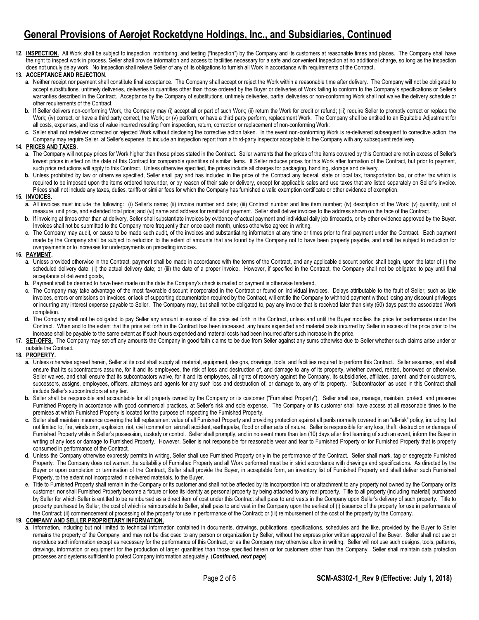12. INSPECTION. All Work shall be subject to inspection, monitoring, and testing ("Inspection") by the Company and its customers at reasonable times and places. The Company shall have the right to inspect work in process. Seller shall provide information and access to facilities necessary for a safe and convenient Inspection at no additional charge, so long as the Inspection does not unduly delay work. No Inspection shall relieve Seller of any of its obligations to furnish all Work in accordance with requirements of the Contract.

#### **13. ACCEPTANCE AND REJECTION.**

- **a.** Neither receipt nor payment shall constitute final acceptance. The Company shall accept or reject the Work within a reasonable time after delivery. The Company will not be obligated to accept substitutions, untimely deliveries, deliveries in quantities other than those ordered by the Buyer or deliveries of Work failing to conform to the Company's specifications or Seller's warranties described in the Contract. Acceptance by the Company of substitutions, untimely deliveries, partial deliveries or non-conforming Work shall not waive the delivery schedule or other requirements of the Contract.
- **b.** If Seller delivers non-conforming Work, the Company may (i) accept all or part of such Work; (ii) return the Work for credit or refund; (iii) require Seller to promptly correct or replace the Work; (iv) correct, or have a third party correct, the Work; or (v) perform, or have a third party perform, replacement Work. The Company shall be entitled to an Equitable Adjustment for all costs, expenses, and loss of value incurred resulting from inspection, return, correction or replacement of non-conforming Work.
- **c.** Seller shall not redeliver corrected or rejected Work without disclosing the corrective action taken. In the event non-conforming Work is re-delivered subsequent to corrective action, the Company may require Seller, at Seller's expense, to include an inspection report from a third-party inspector acceptable to the Company with any subsequent redelivery.

#### **14. PRICES AND TAXES.**

- **a.** The Company will not pay prices for Work higher than those prices stated in the Contract. Seller warrants that the prices of the items covered by this Contract are not in excess of Seller's lowest prices in effect on the date of this Contract for comparable quantities of similar items. If Seller reduces prices for this Work after formation of the Contract, but prior to payment, such price reductions will apply to this Contract. Unless otherwise specified, the prices include all charges for packaging, handling, storage and delivery.
- **b.** Unless prohibited by law or otherwise specified, Seller shall pay and has included in the price of the Contract any federal, state or local tax, transportation tax, or other tax which is required to be imposed upon the items ordered hereunder, or by reason of their sale or delivery, except for applicable sales and use taxes that are listed separately on Seller's invoice. Prices shall not include any taxes, duties, tariffs or similar fees for which the Company has furnished a valid exemption certificate or other evidence of exemption.

#### **15. INVOICES.**

- **a.** All invoices must include the following: (i) Seller's name; (ii) invoice number and date; (iii) Contract number and line item number; (iv) description of the Work; (v) quantity, unit of measure, unit price, and extended total price; and (vi) name and address for remittal of payment. Seller shall deliver invoices to the address shown on the face of the Contract.
- b. If invoicing at times other than at delivery, Seller shall substantiate invoices by evidence of actual payment and individual daily job timecards, or by other evidence approved by the Buyer. Invoices shall not be submitted to the Company more frequently than once each month, unless otherwise agreed in writing.
- **c.** The Company may audit, or cause to be made such audit, of the invoices and substantiating information at any time or times prior to final payment under the Contract. Each payment made by the Company shall be subject to reduction to the extent of amounts that are found by the Company not to have been properly payable, and shall be subject to reduction for overpayments or to increases for underpayments on preceding invoices.

#### **16. PAYMENT.**

- **a.** Unless provided otherwise in the Contract, payment shall be made in accordance with the terms of the Contract, and any applicable discount period shall begin, upon the later of (i) the scheduled delivery date; (ii) the actual delivery date; or (iii) the date of a proper invoice. However, if specified in the Contract, the Company shall not be obligated to pay until final acceptance of delivered goods,
- **b.** Payment shall be deemed to have been made on the date the Company's check is mailed or payment is otherwise tendered.
- **c.** The Company may take advantage of the most favorable discount incorporated in the Contract or found on individual invoices. Delays attributable to the fault of Seller, such as late invoices, errors or omissions on invoices, or lack of supporting documentation required by the Contract, will entitle the Company to withhold payment without losing any discount privileges or incurring any interest expense payable to Seller. The Company may, but shall not be obligated to, pay any invoice that is received later than sixty (60) days past the associated Work completion.
- **d.** The Company shall not be obligated to pay Seller any amount in excess of the price set forth in the Contract, unless and until the Buyer modifies the price for performance under the Contract. When and to the extent that the price set forth in the Contract has been increased, any hours expended and material costs incurred by Seller in excess of the price prior to the increase shall be payable to the same extent as if such hours expended and material costs had been incurred after such increase in the price.
- 17. **SET-OFFS.** The Company may set-off any amounts the Company in good faith claims to be due from Seller against any sums otherwise due to Seller whether such claims arise under or outside the Contract.

#### **18. PROPERTY.**

- a. Unless otherwise agreed herein, Seller at its cost shall supply all material, equipment, designs, drawings, tools, and facilities required to perform this Contract. Seller assumes, and shall ensure that its subcontractors assume, for it and its employees, the risk of loss and destruction of, and damage to any of its property, whether owned, rented, borrowed or otherwise. Seller waives, and shall ensure that its subcontractors waive, for it and its employees, all rights of recovery against the Company, its subsidiaries, affiliates, parent, and their customers, successors, assigns, employees, officers, attorneys and agents for any such loss and destruction of, or damage to, any of its property. "Subcontractor" as used in this Contract shall include Seller's subcontractors at any tier.
- **b.** Seller shall be responsible and accountable for all property owned by the Company or its customer ("Furnished Property"). Seller shall use, manage, maintain, protect, and preserve Furnished Property in accordance with good commercial practices, at Seller's risk and sole expense. The Company or its customer shall have access at all reasonable times to the premises at which Furnished Property is located for the purpose of inspecting the Furnished Property.
- **c.** Seller shall maintain insurance covering the full replacement value of all Furnished Property and providing protection against all perils normally covered in an "all-risk" policy, including, but not limited to, fire, windstorm, explosion, riot, civil commotion, aircraft accident, earthquake, flood or other acts of nature. Seller is responsible for any loss, theft, destruction or damage of Furnished Property while in Seller's possession, custody or control. Seller shall promptly, and in no event more than ten (10) days after first learning of such an event, inform the Buyer in writing of any loss or damage to Furnished Property. However, Seller is not responsible for reasonable wear and tear to Furnished Property or for Furnished Property that is properly consumed in performance of the Contract.
- **d.** Unless the Company otherwise expressly permits in writing, Seller shall use Furnished Property only in the performance of the Contract. Seller shall mark, tag or segregate Furnished Property. The Company does not warrant the suitability of Furnished Property and all Work performed must be in strict accordance with drawings and specifications. As directed by the Buyer or upon completion or termination of the Contract, Seller shall provide the Buyer, in acceptable form, an inventory list of Furnished Property and shall deliver such Furnished Property, to the extent not incorporated in delivered materials, to the Buyer.
- **e.** Title to Furnished Property shall remain in the Company or its customer and shall not be affected by its incorporation into or attachment to any property not owned by the Company or its customer, nor shall Furnished Property become a fixture or lose its identity as personal property by being attached to any real property. Title to all property (including material) purchased by Seller for which Seller is entitled to be reimbursed as a direct item of cost under this Contract shall pass to and vests in the Company upon Seller's delivery of such property. Title to property purchased by Seller, the cost of which is reimbursable to Seller, shall pass to and vest in the Company upon the earliest of (i) issuance of the property for use in performance of the Contract; (ii) commencement of processing of the property for use in performance of the Contract; or (iii) reimbursement of the cost of the property by the Company.

**19. COMPANY AND SELLER PROPRIETARY INFORMATION.**

a. Information, including but not limited to technical information contained in documents, drawings, publications, specifications, schedules and the like, provided by the Buyer to Seller remains the property of the Company, and may not be disclosed to any person or organization by Seller, without the express prior written approval of the Buyer. Seller shall not use or reproduce such information except as necessary for the performance of this Contract, or as the Company may otherwise allow in writing. Seller will not use such designs, tools, patterns, drawings, information or equipment for the production of larger quantities than those specified herein or for customers other than the Company. Seller shall maintain data protection processes and systems sufficient to protect Company information adequately. (*Continued, next page*)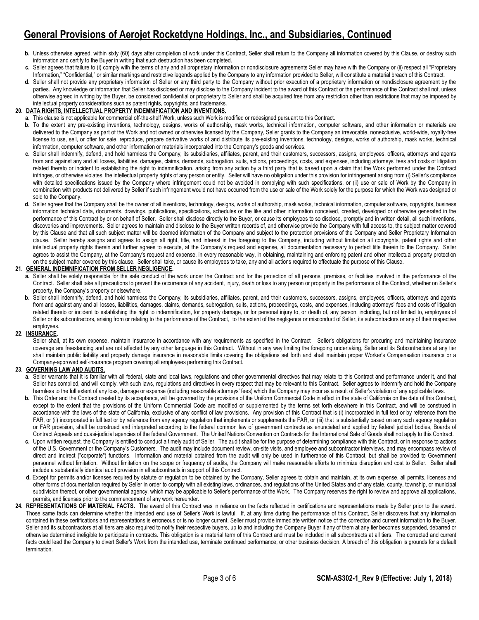- b. Unless otherwise agreed, within sixty (60) days after completion of work under this Contract, Seller shall return to the Company all information covered by this Clause, or destroy such information and certify to the Buyer in writing that such destruction has been completed.
- c. Seller agrees that failure to (i) comply with the terms of any and all proprietary information or nondisclosure agreements Seller may have with the Company or (ii) respect all "Proprietary Information," "Confidential," or similar markings and restrictive legends applied by the Company to any information provided to Seller, will constitute a material breach of this Contract.
- **d.** Seller shall not provide any proprietary information of Seller or any third party to the Company without prior execution of a proprietary information or nondisclosure agreement by the parties. Any knowledge or information that Seller has disclosed or may disclose to the Company incident to the award of this Contract or the performance of the Contract shall not, unless otherwise agreed in writing by the Buyer, be considered confidential or proprietary to Seller and shall be acquired free from any restriction other than restrictions that may be imposed by intellectual property considerations such as patent rights, copyrights, and trademarks.

### **20. DATA RIGHTS, INTELLECTUAL PROPERTY INDEMNIFICATION AND INVENTIONS.**

- **a.** This clause is not applicable for commercial off-the-shelf Work, unless such Work is modified or redesigned pursuant to this Contract.
- **b.** To the extent any pre-existing inventions, technology, designs, works of authorship, mask works, technical information, computer software, and other information or materials are delivered to the Company as part of the Work and not owned or otherwise licensed by the Company, Seller grants to the Company an irrevocable, nonexclusive, world-wide, royalty-free license to use, sell, or offer for sale, reproduce, prepare derivative works of and distribute its pre-existing inventions, technology, designs, works of authorship, mask works, technical information, computer software, and other information or materials incorporated into the Company's goods and services.
- **c.** Seller shall indemnify, defend, and hold harmless the Company, its subsidiaries, affiliates, parent, and their customers, successors, assigns, employees, officers, attorneys and agents from and against any and all losses, liabilities, damages, claims, demands, subrogation, suits, actions, proceedings, costs, and expenses, including attorneys' fees and costs of litigation related thereto or incident to establishing the right to indemnification, arising from any action by a third party that is based upon a claim that the Work performed under the Contract infringes, or otherwise violates, the intellectual property rights of any person or entity. Seller will have no obligation under this provision for infringement arising from (i) Seller's compliance with detailed specifications issued by the Company where infringement could not be avoided in complying with such specifications, or (ii) use or sale of Work by the Company in combination with products not delivered by Seller if such infringement would not have occurred from the use or sale of the Work solely for the purpose for which the Work was designed or sold to the Company.
- **d.** Seller agrees that the Company shall be the owner of all inventions, technology, designs, works of authorship, mask works, technical information, computer software, copyrights, business information technical data, documents, drawings, publications, specifications, schedules or the like and other information conceived, created, developed or otherwise generated in the performance of this Contract by or on behalf of Seller. Seller shall disclose directly to the Buyer, or cause its employees to so disclose, promptly and in written detail, all such inventions, discoveries and improvements. Seller agrees to maintain and disclose to the Buyer written records of, and otherwise provide the Company with full access to, the subject matter covered by this Clause and that all such subject matter will be deemed information of the Company and subject to the protection provisions of the Company and Seller Proprietary Information clause. Seller hereby assigns and agrees to assign all right, title, and interest in the foregoing to the Company, including without limitation all copyrights, patent rights and other intellectual property rights therein and further agrees to execute, at the Company's request and expense, all documentation necessary to perfect title therein to the Company. Seller agrees to assist the Company, at the Company's request and expense, in every reasonable way, in obtaining, maintaining and enforcing patent and other intellectual property protection on the subject matter covered by this clause. Seller shall take, or cause its employees to take, any and all actions required to effectuate the purpose of this Clause.

#### **21. GENERAL INDEMNIFICATION FROM SELLER NEGLIGENCE.**

- a. Seller shall be solely responsible for the safe conduct of the work under the Contract and for the protection of all persons, premises, or facilities involved in the performance of the Contract. Seller shall take all precautions to prevent the occurrence of any accident, injury, death or loss to any person or property in the performance of the Contract, whether on Seller's property, the Company's property or elsewhere.
- **b.** Seller shall indemnify, defend, and hold harmless the Company, its subsidiaries, affiliates, parent, and their customers, successors, assigns, employees, officers, attorneys and agents from and against any and all losses, liabilities, damages, claims, demands, subrogation, suits, actions, proceedings, costs, and expenses, including attorneys' fees and costs of litigation related thereto or incident to establishing the right to indemnification, for property damage, or for personal injury to, or death of, any person, including, but not limited to, employees of Seller or its subcontractors, arising from or relating to the performance of the Contract, to the extent of the negligence or misconduct of Seller, its subcontractors or any of their respective employees.

#### **22. INSURANCE.**

Seller shall, at its own expense, maintain insurance in accordance with any requirements as specified in the Contract Seller's obligations for procuring and maintaining insurance coverage are freestanding and are not affected by any other language in this Contract. Without in any way limiting the foregoing undertaking, Seller and its Subcontractors at any tier shall maintain public liability and property damage insurance in reasonable limits covering the obligations set forth and shall maintain proper Worker's Compensation insurance or a Company-approved self-insurance program covering all employees performing this Contract.

#### **23. GOVERNING LAW AND AUDITS.**

- a. Seller warrants that it is familiar with all federal, state and local laws, regulations and other governmental directives that may relate to this Contract and performance under it, and that Seller has complied, and will comply, with such laws, regulations and directives in every respect that may be relevant to this Contract. Seller agrees to indemnify and hold the Company harmless to the full extent of any loss, damage or expense (including reasonable attorneys' fees) which the Company may incur as a result of Seller's violation of any applicable laws.
- **b.** This Order and the Contract created by its acceptance, will be governed by the provisions of the Uniform Commercial Code in effect in the state of California on the date of this Contract, except to the extent that the provisions of the Uniform Commercial Code are modified or supplemented by the terms set forth elsewhere in this Contract, and will be construed in accordance with the laws of the state of California, exclusive of any conflict of law provisions. Any provision of this Contract that is (i) incorporated in full text or by reference from the FAR, or (ii) incorporated in full text or by reference from any agency regulation that implements or supplements the FAR, or (iii) that is substantially based on any such agency regulation or FAR provision, shall be construed and interpreted according to the federal common law of government contracts as enunciated and applied by federal judicial bodies, Boards of Contract Appeals and quasi-judicial agencies of the federal Government. The United Nations Convention on Contracts for the International Sale of Goods shall not apply to this Contract.
- **c.** Upon written request, the Company is entitled to conduct a timely audit of Seller. The audit shall be for the purpose of determining compliance with this Contract, or in response to actions of the U.S. Government or the Company's Customers. The audit may include document review, on-site visits, and employee and subcontractor interviews, and may encompass review of direct and indirect ("corporate") functions. Information and material obtained from the audit will only be used in furtherance of this Contract, but shall be provided to Government personnel without limitation. Without limitation on the scope or frequency of audits, the Company will make reasonable efforts to minimize disruption and cost to Seller. Seller shall include a substantially identical audit provision in all subcontracts in support of this Contract.
- **d.** Except for permits and/or licenses required by statute or regulation to be obtained by the Company, Seller agrees to obtain and maintain, at its own expense, all permits, licenses and other forms of documentation required by Seller in order to comply with all existing laws, ordinances, and regulations of the United States and of any state, county, township, or municipal subdivision thereof, or other governmental agency, which may be applicable to Seller's performance of the Work. The Company reserves the right to review and approve all applications, permits, and licenses prior to the commencement of any work hereunder.
- **24. REPRESENTATIONS OF MATERIAL FACTS.** The award of this Contract was in reliance on the facts reflected in certifications and representations made by Seller prior to the award. Those same facts can determine whether the intended end use of Seller's Work is lawful. If, at any time during the performance of this Contract, Seller discovers that any information contained in these certifications and representations is erroneous or is no longer current, Seller must provide immediate written notice of the correction and current information to the Buyer. Seller and its subcontractors at all tiers are also required to notify their respective buyers, up to and including the Company Buyer if any of them at any tier becomes suspended, debarred or otherwise determined ineligible to participate in contracts. This obligation is a material term of this Contract and must be included in all subcontracts at all tiers. The corrected and current facts could lead the Company to divert Seller's Work from the intended use, terminate continued performance, or other business decision. A breach of this obligation is grounds for a default termination.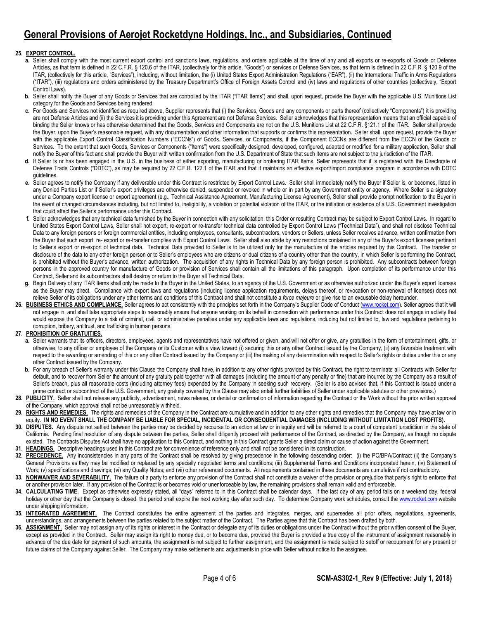## **25. EXPORT CONTROL.**

- a. Seller shall comply with the most current export control and sanctions laws, regulations, and orders applicable at the time of any and all exports or re-exports of Goods or Defense Articles, as that term is defined in 22 C.F.R. § 120.6 of the ITAR, (collectively for this article, "Goods") or services or Defense Services, as that term is defined in 22 C.F.R. § 120.9 of the ITAR, (collectively for this article, "Services"), including, without limitation, the (i) United States Export Administration Regulations ("EAR"), (ii) the International Traffic in Arms Regulations ("ITAR"), (iii) regulations and orders administered by the Treasury Department's Office of Foreign Assets Control and (iv) laws and regulations of other countries (collectively, "Export Control Laws).
- **b.** Seller shall notify the Buyer of any Goods or Services that are controlled by the ITAR ("ITAR Items") and shall, upon request, provide the Buyer with the applicable U.S. Munitions List category for the Goods and Services being rendered.
- **c.** For Goods and Services not identified as required above, Supplier represents that (i) the Services, Goods and any components or parts thereof (collectively "Components") it is providing are not Defense Articles and (ii) the Services it is providing under this Agreement are not Defense Services. Seller acknowledges that this representation means that an official capable of binding the Seller knows or has otherwise determined that the Goods, Services and Components are not on the U.S. Munitions List at 22 C.F.R. §121.1 of the ITAR. Seller shall provide the Buyer, upon the Buyer's reasonable request, with any documentation and other information that supports or confirms this representation. Seller shall, upon request, provide the Buyer with the applicable Export Control Classification Numbers ("ECCNs") of Goods, Services, or Components, if the Component ECCNs are different from the ECCN of the Goods or Services. To the extent that such Goods, Services or Components ("Items") were specifically designed, developed, configured, adapted or modified for a military application, Seller shall notify the Buyer of this fact and shall provide the Buyer with written confirmation from the U.S. Department of State that such Items are not subject to the jurisdiction of the ITAR.
- **d.** If Seller is or has been engaged in the U.S. in the business of either exporting, manufacturing or brokering ITAR Items, Seller represents that it is registered with the Directorate of Defense Trade Controls ("DDTC"), as may be required by 22 C.F.R. 122.1 of the ITAR and that it maintains an effective export/import compliance program in accordance with DDTC guidelines.
- e. Seller agrees to notify the Company if any deliverable under this Contract is restricted by Export Control Laws. Seller shall immediately notify the Buyer if Seller is, or becomes, listed in any Denied Parties List or if Seller's export privileges are otherwise denied, suspended or revoked in whole or in part by any Government entity or agency. Where Seller is a signatory under a Company export license or export agreement (e.g., Technical Assistance Agreement, Manufacturing License Agreement), Seller shall provide prompt notification to the Buyer in the event of changed circumstances including, but not limited to, ineligibility, a violation or potential violation of the ITAR, or the initiation or existence of a U.S. Government investigation that could affect the Seller's performance under this Contract**.**
- **f.** Seller acknowledges that any technical data furnished by the Buyer in connection with any solicitation, this Order or resulting Contract may be subject to Export Control Laws. In regard to United States Export Control Laws, Seller shall not export, re-export or re-transfer technical data controlled by Export Control Laws ("Technical Data"), and shall not disclose Technical Data to any foreign persons or foreign commercial entities, including employees, consultants, subcontractors, vendors or Sellers, unless Seller receives advance, written confirmation from the Buyer that such export, re- export or re-transfer complies with Export Control Laws. Seller shall also abide by any restrictions contained in any of the Buyer's export licenses pertinent to Seller's export or re-export of technical data. Technical Data provided to Seller is to be utilized only for the manufacture of the articles required by this Contract. The transfer or disclosure of the data to any other foreign person or to Seller's employees who are citizens or dual citizens of a country other than the country, in which Seller is performing the Contract, is prohibited without the Buyer's advance, written authorization. The acquisition of any rights in Technical Data by any foreign person is prohibited. Any subcontracts between foreign persons in the approved country for manufacture of Goods or provision of Services shall contain all the limitations of this paragraph. Upon completion of its performance under this Contract, Seller and its subcontractors shall destroy or return to the Buyer all Technical Data.
- Begin Delivery of any ITAR Items shall only be made to the Buyer in the United States, to an agency of the U.S. Government or as otherwise authorized under the Buyer's export licenses as the Buyer may direct. Compliance with export laws and regulations (including license application requirements, delays thereof, or revocation or non-renewal of licenses) does not relieve Seller of its obligations under any other terms and conditions of this Contract and shall not constitute a *force majeure* or give rise to an excusable delay hereunder.
- 26. BUSINESS ETHICS AND COMPLIANCE. Seller agrees to act consistently with the principles set forth in the Company's Supplier Code of Conduct [\(www.rocket.com\).](http://www.rocket.com/) Seller agrees that it will not engage in, and shall take appropriate steps to reasonably ensure that anyone working on its behalf in connection with performance under this Contract does not engage in activity that would expose the Company to a risk of criminal, civil, or administrative penalties under any applicable laws and regulations, including but not limited to, law and regulations pertaining to corruption, bribery, antitrust, and trafficking in human persons.

### **27. PROHIBITION OF GRATUITIES.**

- **a.** Seller warrants that its officers, directors, employees, agents and representatives have not offered or given, and will not offer or give, any gratuities in the form of entertainment, gifts, or otherwise, to any officer or employee of the Company or its Customer with a view toward (i) securing this or any other Contract issued by the Company, (ii) any favorable treatment with respect to the awarding or amending of this or any other Contract issued by the Company or (iii) the making of any determination with respect to Seller's rights or duties under this or any other Contract issued by the Company.
- **b.** For any breach of Seller's warranty under this Clause the Company shall have, in addition to any other rights provided by this Contract, the right to terminate all Contracts with Seller for default, and to recover from Seller the amount of any gratuity paid together with all damages (including the amount of any penalty or fine) that are incurred by the Company as a result of Seller's breach, plus all reasonable costs (including attorney fees) expended by the Company in seeking such recovery. (Seller is also advised that, if this Contract is issued under a prime contract or subcontract of the U.S. Government, any gratuity covered by this Clause may also entail further liabilities of Seller under applicable statutes or other provisions.)
- 28. PUBLICITY. Seller shall not release any publicity, advertisement, news release, or denial or confirmation of information regarding the Contract or the Work without the prior written approval of the Company, which approval shall not be unreasonably withheld.
- 29. RIGHTS AND REMEDIES. The rights and remedies of the Company in the Contract are cumulative and in addition to any other rights and remedies that the Company may have at law or in equity. **IN NO EVENT SHALL THE COMPANY BE LIABLE FOR SPECIAL, INCIDENTAL OR CONSEQUENTIAL DAMAGES (INCLUDING WITHOUT LIMITATION LOST PROFITS).**
- 30. DISPUTES. Any dispute not settled between the parties may be decided by recourse to an action at law or in equity and will be referred to a court of competent jurisdiction in the state of California. Pending final resolution of any dispute between the parties, Seller shall diligently proceed with performance of the Contract, as directed by the Company, as though no dispute existed. The Contracts Disputes Act shall have no application to this Contract, and nothing in this Contract grants Seller a direct claim or cause of action against the Government.
- **31. HEADINGS.** Descriptive headings used in this Contract are for convenience of reference only and shall not be considered in its construction.
- 32. PRECEDENCE. Any inconsistencies in any parts of the Contract shall be resolved by giving precedence in the following descending order: (i) the PO/BPA/Contract (ii) the Company's General Provisions as they may be modified or replaced by any specially negotiated terms and conditions; (iii) Supplemental Terms and Conditions incorporated herein, (iv) Statement of Work; (v) specifications and drawings; (vi) any Quality Notes; and (vii) other referenced documents. All requirements contained in these documents are cumulative if not contradictory.
- **33. NONWAIVER AND SEVERABILITY.** The failure of a party to enforce any provision of the Contract shall not constitute a waiver of the provision or prejudice that party's right to enforce that or another provision later. If any provision of the Contract is or becomes void or unenforceable by law, the remaining provisions shall remain valid and enforceable.
- 34. CALCULATING TIME. Except as otherwise expressly stated, all "days" referred to in this Contract shall be calendar days. If the last day of any period falls on a weekend day, federal holiday or other day that the Company is closed, the period shall expire the next working day after such day. To determine Company work schedules, consult th[e www.rocket.com](http://www.rocket.com/) website under shipping information.
- **35. INTEGRATED AGREEMENT.** The Contract constitutes the entire agreement of the parties and integrates, merges, and supersedes all prior offers, negotiations, agreements, understandings, and arrangements between the parties related to the subject matter of the Contract. The Parties agree that this Contract has been drafted by both.
- **36. ASSIGNMENT.** Seller may not assign any of its rights or interest in the Contract or delegate any of its duties or obligations under the Contract without the prior written consent of the Buyer, except as provided in the Contract. Seller may assign its right to money due, or to become due, provided the Buyer is provided a true copy of the instrument of assignment reasonably in advance of the due date for payment of such amounts, the assignment is not subject to further assignment, and the assignment is made subject to setoff or recoupment for any present or future claims of the Company against Seller. The Company may make settlements and adjustments in price with Seller without notice to the assignee.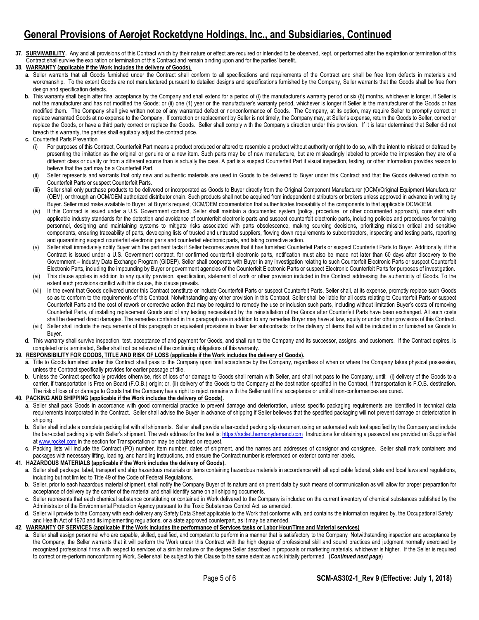**37. SURVIVABILITY.** Any and all provisions of this Contract which by their nature or effect are required or intended to be observed, kept, or performed after the expiration or termination of this Contract shall survive the expiration or termination of this Contract and remain binding upon and for the parties' benefit..

### **38. WARRANTY (applicable if the Work includes the delivery of Goods).**

- **a.** Seller warrants that all Goods furnished under the Contract shall conform to all specifications and requirements of the Contract and shall be free from defects in materials and workmanship. To the extent Goods are not manufactured pursuant to detailed designs and specifications furnished by the Company, Seller warrants that the Goods shall be free from design and specification defects.
- **b.** This warranty shall begin after final acceptance by the Company and shall extend for a period of (i) the manufacturer's warranty period or six (6) months, whichever is longer, if Seller is not the manufacturer and has not modified the Goods; or (ii) one (1) year or the manufacturer's warranty period, whichever is longer if Seller is the manufacturer of the Goods or has modified them. The Company shall give written notice of any warranted defect or nonconformance of Goods. The Company, at its option, may require Seller to promptly correct or replace warranted Goods at no expense to the Company. If correction or replacement by Seller is not timely, the Company may, at Seller's expense, return the Goods to Seller, correct or replace the Goods, or have a third party correct or replace the Goods. Seller shall comply with the Company's direction under this provision. If it is later determined that Seller did not breach this warranty, the parties shall equitably adjust the contract price.
- **c.** Counterfeit Parts Prevention
	- (i) For purposes of this Contract, Counterfeit Part means a product produced or altered to resemble a product without authority or right to do so, with the intent to mislead or defraud by presenting the imitation as the original or genuine or a new item. Such parts may be of new manufacture, but are misleadingly labeled to provide the impression they are of a different class or quality or from a different source than is actually the case. A part is a suspect Counterfeit Part if visual inspection, testing, or other information provides reason to believe that the part may be a Counterfeit Part.
	- (ii) Seller represents and warrants that only new and authentic materials are used in Goods to be delivered to Buyer under this Contract and that the Goods delivered contain no Counterfeit Parts or suspect Counterfeit Parts.
	- (iii) Seller shall only purchase products to be delivered or incorporated as Goods to Buyer directly from the Original Component Manufacturer (OCM)/Original Equipment Manufacturer (OEM), or through an OCM/OEM authorized distributor chain. Such products shall not be acquired from independent distributors or brokers unless approved in advance in writing by Buyer. Seller must make available to Buyer, at Buyer's request, OCM/OEM documentation that authenticates traceability of the components to that applicable OCM/OEM.
	- (iv) If this Contract is issued under a U.S. Government contract, Seller shall maintain a documented system (policy, procedure, or other documented approach), consistent with applicable industry standards for the detection and avoidance of counterfeit electronic parts and suspect counterfeit electronic parts, including policies and procedures for training personnel, designing and maintaining systems to mitigate risks associated with parts obsolescence, making sourcing decisions, prioritizing mission critical and sensitive components, ensuring traceability of parts, developing lists of trusted and untrusted suppliers, flowing down requirements to subcontractors, inspecting and testing parts, reporting and quarantining suspect counterfeit electronic parts and counterfeit electronic parts, and taking corrective action.
	- (v) Seller shall immediately notify Buyer with the pertinent facts if Seller becomes aware that it has furnished Counterfeit Parts or suspect Counterfeit Parts to Buyer. Additionally, if this Contract is issued under a U.S. Government contract, for confirmed counterfeit electronic parts, notification must also be made not later than 60 days after discovery to the Government – Industry Data Exchange Program (GIDEP). Seller shall cooperate with Buyer in any investigation relating to such Counterfeit Electronic Parts or suspect Counterfeit Electronic Parts, including the impounding by Buyer or government agencies of the Counterfeit Electronic Parts or suspect Electronic Counterfeit Parts for purposes of investigation.
	- (vi) This clause applies in addition to any quality provision, specification, statement of work or other provision included in this Contract addressing the authenticity of Goods. To the extent such provisions conflict with this clause, this clause prevails.
	- (vii) In the event that Goods delivered under this Contract constitute or include Counterfeit Parts or suspect Counterfeit Parts, Seller shall, at its expense, promptly replace such Goods so as to conform to the requirements of this Contract. Notwithstanding any other provision in this Contract, Seller shall be liable for all costs relating to Counterfeit Parts or suspect Counterfeit Parts and the cost of rework or corrective action that may be required to remedy the use or inclusion such parts, including without limitation Buyer's costs of removing Counterfeit Parts, of installing replacement Goods and of any testing necessitated by the reinstallation of the Goods after Counterfeit Parts have been exchanged. All such costs shall be deemed direct damages. The remedies contained in this paragraph are in addition to any remedies Buyer may have at law, equity or under other provisions of this Contract.
	- (viii) Seller shall include the requirements of this paragraph or equivalent provisions in lower tier subcontracts for the delivery of items that will be included in or furnished as Goods to Buyer.
- **d.** This warranty shall survive inspection, test, acceptance of and payment for Goods, and shall run to the Company and its successor, assigns, and customers. If the Contract expires, is completed or is terminated, Seller shall not be relieved of the continuing obligations of this warranty.

### **39. RESPONSIBILITY FOR GOODS, TITLE AND RISK OF LOSS (applicable if the Work includes the delivery of Goods).**

- **a.** Title to Goods furnished under this Contract shall pass to the Company upon final acceptance by the Company, regardless of when or where the Company takes physical possession, unless the Contract specifically provides for earlier passage of title.
- **b.** Unless the Contract specifically provides otherwise, risk of loss of or damage to Goods shall remain with Seller, and shall not pass to the Company, until: (i) delivery of the Goods to a carrier, if transportation is Free on Board (F.O.B.) origin; or, (ii) delivery of the Goods to the Company at the destination specified in the Contract, if transportation is F.O.B. destination. The risk of loss of or damage to Goods that the Company has a right to reject remains with the Seller until final acceptance or until all non-conformances are cured.

#### **40. PACKING AND SHIPPING (applicable if the Work includes the delivery of Goods).**

- **a.** Seller shall pack Goods in accordance with good commercial practice to prevent damage and deterioration, unless specific packaging requirements are identified in technical data requirements incorporated in the Contract. Seller shall advise the Buyer in advance of shipping if Seller believes that the specified packaging will not prevent damage or deterioration in shipping.
- **b.** Seller shall include a complete packing list with all shipments. Seller shall provide a bar-coded packing slip document using an automated web tool specified by the Company and include the bar-coded packing slip with Seller's shipment. The web address for the tool is[: https://rocket.harmonydemand.com](https://rocket.harmonydemand.com/) Instructions for obtaining a password are provided on SupplierNet a[t www.rocket.com](http://www.rocket.com/) in the section for Transportation or may be obtained on request.
- **c.** Packing lists will include the Contract (PO) number, item number, dates of shipment, and the names and addresses of consignor and consignee. Seller shall mark containers and packages with necessary lifting, loading, and handling instructions, and ensure the Contract number is referenced on exterior container labels.

#### **41. HAZARDOUS MATERIALS (applicable if the Work includes the delivery of Goods).**

- **a.** Seller shall package, label, transport and ship hazardous materials or items containing hazardous materials in accordance with all applicable federal, state and local laws and regulations, including but not limited to Title 49 of the Code of Federal Regulations.
- **b.** Seller, prior to each hazardous material shipment, shall notify the Company Buyer of its nature and shipment data by such means of communication as will allow for proper preparation for acceptance of delivery by the carrier of the material and shall identify same on all shipping documents.
- **c.** Seller represents that each chemical substance constituting or contained in Work delivered to the Company is included on the current inventory of chemical substances published by the Administrator of the Environmental Protection Agency pursuant to the Toxic Substances Control Act, as amended.
- **d.** Seller will provide to the Company with each delivery any Safety Data Sheet applicable to the Work that conforms with, and contains the information required by, the Occupational Safety and Health Act of 1970 and its implementing regulations, or a state approved counterpart, as it may be amended.

# **42. WARRANTY OF SERVICES (applicable if the Work includes the performance of Services tasks or Labor Hour/Time and Material services)**

**a.** Seller shall assign personnel who are capable, skilled, qualified, and competent to perform in a manner that is satisfactory to the Company Notwithstanding inspection and acceptance by the Company, the Seller warrants that it will perform the Work under this Contract with the high degree of professional skill and sound practices and judgment normally exercised by recognized professional firms with respect to services of a similar nature or the degree Seller described in proposals or marketing materials, whichever is higher. If the Seller is required to correct or re-perform nonconforming Work, Seller shall be subject to this Clause to the same extent as work initially performed. (*Continued next page*)